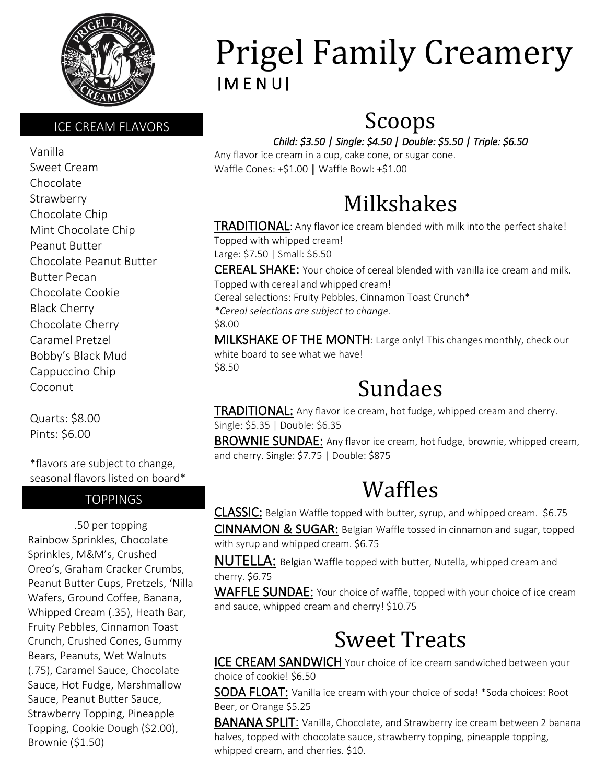

#### ICE CREAM FLAVORS

Vanilla Sweet Cream Chocolate Strawberry Chocolate Chip Mint Chocolate Chip Peanut Butter Chocolate Peanut Butter Butter Pecan Chocolate Cookie Black Cherry Chocolate Cherry Caramel Pretzel Bobby's Black Mud Cappuccino Chip Coconut

Quarts: \$8.00 Pints: \$6.00

\*flavors are subject to change, seasonal flavors listed on board\*

#### **TOPPINGS**

.50 per topping Rainbow Sprinkles, Chocolate Sprinkles, M&M's, Crushed Oreo's, Graham Cracker Crumbs, Peanut Butter Cups, Pretzels, 'Nilla Wafers, Ground Coffee, Banana, Whipped Cream (.35), Heath Bar, Fruity Pebbles, Cinnamon Toast Crunch, Crushed Cones, Gummy Bears, Peanuts, Wet Walnuts (.75), Caramel Sauce, Chocolate Sauce, Hot Fudge, Marshmallow Sauce, Peanut Butter Sauce, Strawberry Topping, Pineapple Topping, Cookie Dough (\$2.00), Brownie (\$1.50)

# Prigel Family Creamery |M E N U|

### Scoops

#### *Child: \$3.50 | Single: \$4.50 | Double: \$5.50 | Triple: \$6.50*

Any flavor ice cream in a cup, cake cone, or sugar cone. Waffle Cones: +\$1.00 | Waffle Bowl: +\$1.00

### Milkshakes

**TRADITIONAL:** Any flavor ice cream blended with milk into the perfect shake! Topped with whipped cream! Large: \$7.50 | Small: \$6.50

CEREAL SHAKE: Your choice of cereal blended with vanilla ice cream and milk. Topped with cereal and whipped cream! Cereal selections: Fruity Pebbles, Cinnamon Toast Crunch\* *\*Cereal selections are subject to change.* \$8.00 MILKSHAKE OF THE MONTH: Large only! This changes monthly, check our white board to see what we have! \$8.50

### Sundaes

TRADITIONAL: Any flavor ice cream, hot fudge, whipped cream and cherry. Single: \$5.35 | Double: \$6.35

BROWNIE SUNDAE: Any flavor ice cream, hot fudge, brownie, whipped cream, and cherry. Single: \$7.75 | Double: \$875

### Waffles

CLASSIC: Belgian Waffle topped with butter, syrup, and whipped cream. \$6.75 CINNAMON & SUGAR: Belgian Waffle tossed in cinnamon and sugar, topped

with syrup and whipped cream. \$6.75

NUTELLA: Belgian Waffle topped with butter, Nutella, whipped cream and cherry. \$6.75

WAFFLE SUNDAE: Your choice of waffle, topped with your choice of ice cream and sauce, whipped cream and cherry! \$10.75

### Sweet Treats

ICE CREAM SANDWICH Your choice of ice cream sandwiched between your choice of cookie! \$6.50

SODA FLOAT: Vanilla ice cream with your choice of soda! \*Soda choices: Root Beer, or Orange \$5.25

BANANA SPLIT: Vanilla, Chocolate, and Strawberry ice cream between 2 banana halves, topped with chocolate sauce, strawberry topping, pineapple topping, whipped cream, and cherries. \$10.